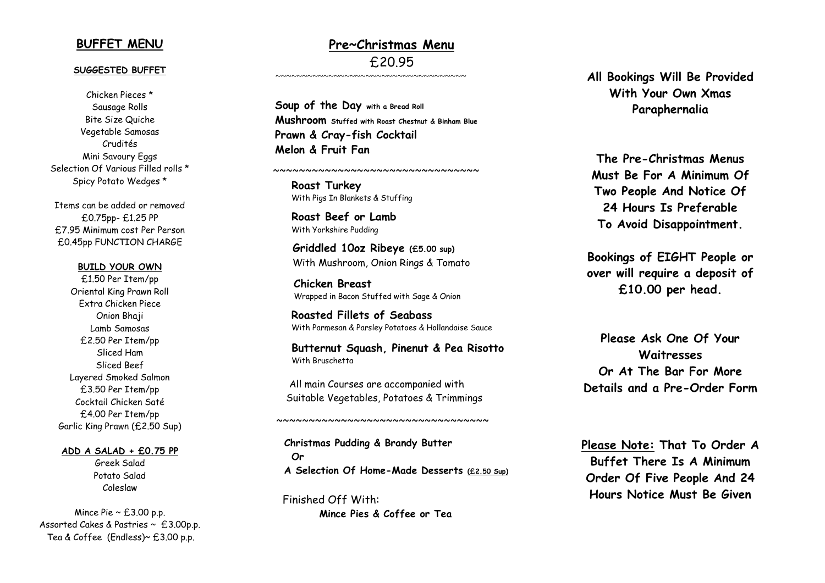#### **BUFFET MENU**

#### **SUGGESTED BUFFET**

Chicken Piece s \* Sausage Rolls Bite Size Quiche Vegetable Samosas Crudités Mini Savoury Eggs Selection Of Various Filled rolls \* Spicy Potato Wedges \*

Items can be added or removed £0.75pp - £1.25 PP £7.95 Minimum cost Per Person £0.45pp FUNCTION CHARGE

#### **BUILD YOUR OWN**

£1. 5 0 Per Item /pp Oriental King Prawn Roll Extra Chicken Piece Onion Bhaji Lamb Samosas £ 2 . 5 0 Per Item /pp Sliced Ham Sliced Beef Layered Smoked Salmon £3.50 Per Item/pp Cocktail Chicken Saté £4.00 Per Item/pp Garlic King Prawn (£ 2.50 Sup)

#### **ADD A SALAD + £0.75 PP**

Greek Salad Potato Salad Coleslaw

Mince Pie  $\sim \text{\textsterling}3.00$  p.p. Assorted Cakes & Pastries ~ £3.00p.p . Tea & Coffee (Endless)~ £3.00 p.p.

### **Pre~Christmas Menu** £20.95

 **Soup of the Day with a Bread Roll Mushroom Stuffed with Roast Chestnut & Binham Blue Prawn & Cray -fish Cocktail Melon & Fruit Fan**

~~~~~~~~~~~~~~~~~~~~~~~~~~~~~~~~

~~~~~~~~~~~~~~~~~~~~~~~~~~~~~~~~~~~

**Roast Turkey** With Pigs In Blankets & Stuffing

**Roast Beef or Lamb** With Yorkshire Pudding

 **Griddled 10oz Ribeye (£5.00 sup)** With Mushroom, Onion Rings & Tomato

 **Chicken Breast** Wrapped in Bacon St uffed with Sage & Onion

> **Roasted Fillet s of Seabass** With Parmesan & Parsley Potatoes & Hollandaise Sauce

**Butternut Squash , Pinenut & P e a Risotto** With Bruschetta

 All main Courses are accompanied with Suitable Vegetables, Potatoes & Trimmings

 $~\sim$   $~\sim$   $~\sim$   $~\sim$   $~\sim$   $~\sim$   $~\sim$   $~\sim$   $~\sim$   $~\sim$   $~\sim$   $~\sim$   $~\sim$   $~\sim$   $~\sim$   $~\sim$   $~\sim$   $~\sim$   $~\sim$   $~\sim$   $~\sim$   $~\sim$   $~\sim$   $~\sim$   $~\sim$   $~\sim$   $~\sim$   $~\sim$   $~\sim$   $~\sim$   $~\sim$   $~\sim$   $~\sim$   $~\sim$   $~\sim$   $~\sim$   $~\sim$ 

 **Christmas Pudding & Brandy Butter Or A Selection Of Home -Made Desserts (£2. 50 Sup)**

 Finished Off Wi t h : **Mince Pies & Coffee or Tea** **All Bookings Will Be Provided With Your Own Xmas Paraphernalia**

**The Pre -Christmas Menus Must Be For A Minimum Of Two People And Notice Of 24 Hours Is Preferable To Avoid Disappointment.**

**Bookings of EIGHT People or over will require a deposit of £10.00 per head.**

**Please Ask One Of Your Waitresses Or At The Bar For More Details and a Pre -Order Form**

**Please Not e : That To Order A Buffet There Is A Minimum Order Of Five People And 24 Hours Notice Must Be Given**